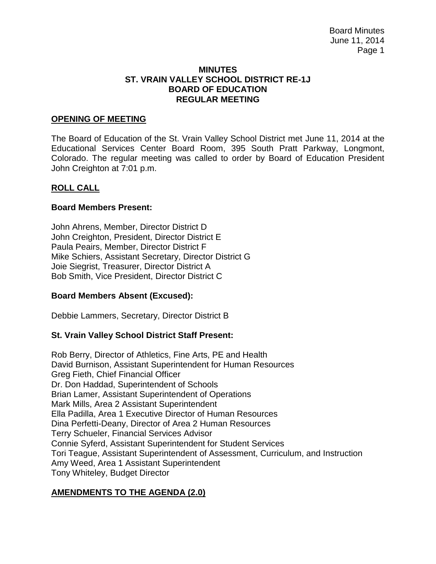#### **MINUTES ST. VRAIN VALLEY SCHOOL DISTRICT RE-1J BOARD OF EDUCATION REGULAR MEETING**

#### **OPENING OF MEETING**

The Board of Education of the St. Vrain Valley School District met June 11, 2014 at the Educational Services Center Board Room, 395 South Pratt Parkway, Longmont, Colorado. The regular meeting was called to order by Board of Education President John Creighton at 7:01 p.m.

#### **ROLL CALL**

#### **Board Members Present:**

John Ahrens, Member, Director District D John Creighton, President, Director District E Paula Peairs, Member, Director District F Mike Schiers, Assistant Secretary, Director District G Joie Siegrist, Treasurer, Director District A Bob Smith, Vice President, Director District C

## **Board Members Absent (Excused):**

Debbie Lammers, Secretary, Director District B

## **St. Vrain Valley School District Staff Present:**

Rob Berry, Director of Athletics, Fine Arts, PE and Health David Burnison, Assistant Superintendent for Human Resources Greg Fieth, Chief Financial Officer Dr. Don Haddad, Superintendent of Schools Brian Lamer, Assistant Superintendent of Operations Mark Mills, Area 2 Assistant Superintendent Ella Padilla, Area 1 Executive Director of Human Resources Dina Perfetti-Deany, Director of Area 2 Human Resources Terry Schueler, Financial Services Advisor Connie Syferd, Assistant Superintendent for Student Services Tori Teague, Assistant Superintendent of Assessment, Curriculum, and Instruction Amy Weed, Area 1 Assistant Superintendent Tony Whiteley, Budget Director

## **AMENDMENTS TO THE AGENDA (2.0)**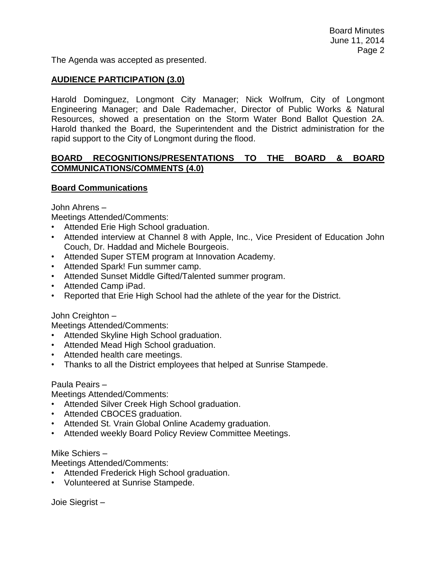The Agenda was accepted as presented.

## **AUDIENCE PARTICIPATION (3.0)**

Harold Dominguez, Longmont City Manager; Nick Wolfrum, City of Longmont Engineering Manager; and Dale Rademacher, Director of Public Works & Natural Resources, showed a presentation on the Storm Water Bond Ballot Question 2A. Harold thanked the Board, the Superintendent and the District administration for the rapid support to the City of Longmont during the flood.

## **BOARD RECOGNITIONS/PRESENTATIONS TO THE BOARD & BOARD COMMUNICATIONS/COMMENTS (4.0)**

## **Board Communications**

John Ahrens –

Meetings Attended/Comments:

- Attended Erie High School graduation.
- Attended interview at Channel 8 with Apple, Inc., Vice President of Education John Couch, Dr. Haddad and Michele Bourgeois.
- Attended Super STEM program at Innovation Academy.
- Attended Spark! Fun summer camp.
- Attended Sunset Middle Gifted/Talented summer program.
- Attended Camp iPad.
- Reported that Erie High School had the athlete of the year for the District.

#### John Creighton –

Meetings Attended/Comments:

- Attended Skyline High School graduation.
- Attended Mead High School graduation.
- Attended health care meetings.
- Thanks to all the District employees that helped at Sunrise Stampede.

#### Paula Peairs –

Meetings Attended/Comments:

- Attended Silver Creek High School graduation.
- Attended CBOCES graduation.
- Attended St. Vrain Global Online Academy graduation.
- Attended weekly Board Policy Review Committee Meetings.

#### Mike Schiers –

Meetings Attended/Comments:

- Attended Frederick High School graduation.
- Volunteered at Sunrise Stampede.

Joie Siegrist –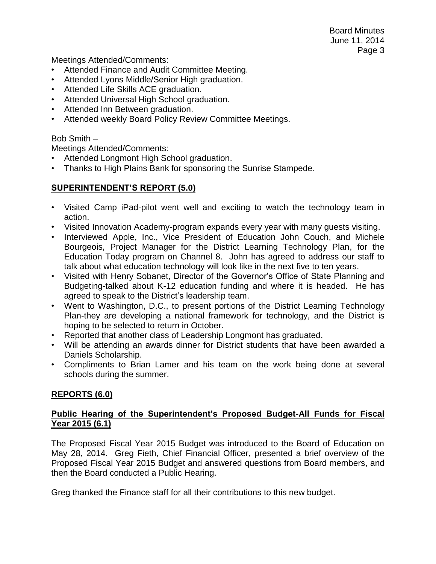Board Minutes June 11, 2014 Page 3

Meetings Attended/Comments:

- Attended Finance and Audit Committee Meeting.
- Attended Lyons Middle/Senior High graduation.
- Attended Life Skills ACE graduation.
- Attended Universal High School graduation.
- Attended Inn Between graduation.
- Attended weekly Board Policy Review Committee Meetings.

#### Bob Smith –

Meetings Attended/Comments:

- Attended Longmont High School graduation.
- Thanks to High Plains Bank for sponsoring the Sunrise Stampede.

# **SUPERINTENDENT'S REPORT (5.0)**

- Visited Camp iPad-pilot went well and exciting to watch the technology team in action.
- Visited Innovation Academy-program expands every year with many guests visiting.
- Interviewed Apple, Inc., Vice President of Education John Couch, and Michele Bourgeois, Project Manager for the District Learning Technology Plan, for the Education Today program on Channel 8. John has agreed to address our staff to talk about what education technology will look like in the next five to ten years.
- Visited with Henry Sobanet, Director of the Governor's Office of State Planning and Budgeting-talked about K-12 education funding and where it is headed. He has agreed to speak to the District's leadership team.
- Went to Washington, D.C., to present portions of the District Learning Technology Plan-they are developing a national framework for technology, and the District is hoping to be selected to return in October.
- Reported that another class of Leadership Longmont has graduated.
- Will be attending an awards dinner for District students that have been awarded a Daniels Scholarship.
- Compliments to Brian Lamer and his team on the work being done at several schools during the summer.

## **REPORTS (6.0)**

# **Public Hearing of the Superintendent's Proposed Budget-All Funds for Fiscal Year 2015 (6.1)**

The Proposed Fiscal Year 2015 Budget was introduced to the Board of Education on May 28, 2014. Greg Fieth, Chief Financial Officer, presented a brief overview of the Proposed Fiscal Year 2015 Budget and answered questions from Board members, and then the Board conducted a Public Hearing.

Greg thanked the Finance staff for all their contributions to this new budget.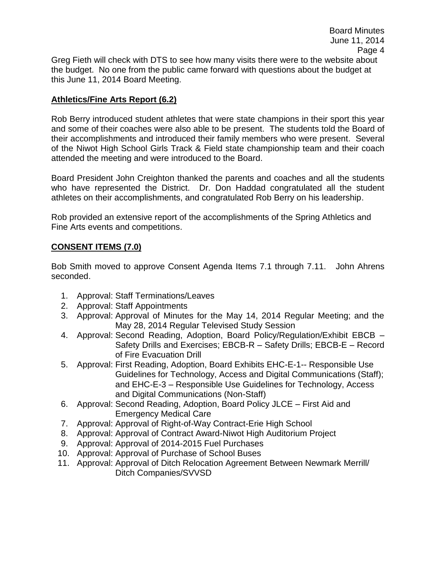Greg Fieth will check with DTS to see how many visits there were to the website about the budget. No one from the public came forward with questions about the budget at this June 11, 2014 Board Meeting.

# **Athletics/Fine Arts Report (6.2)**

Rob Berry introduced student athletes that were state champions in their sport this year and some of their coaches were also able to be present. The students told the Board of their accomplishments and introduced their family members who were present. Several of the Niwot High School Girls Track & Field state championship team and their coach attended the meeting and were introduced to the Board.

Board President John Creighton thanked the parents and coaches and all the students who have represented the District. Dr. Don Haddad congratulated all the student athletes on their accomplishments, and congratulated Rob Berry on his leadership.

Rob provided an extensive report of the accomplishments of the Spring Athletics and Fine Arts events and competitions.

# **CONSENT ITEMS (7.0)**

Bob Smith moved to approve Consent Agenda Items 7.1 through 7.11. John Ahrens seconded.

- 1. Approval: Staff Terminations/Leaves
- 2. Approval: Staff Appointments
- 3. Approval: Approval of Minutes for the May 14, 2014 Regular Meeting; and the May 28, 2014 Regular Televised Study Session
- 4. Approval: Second Reading, Adoption, Board Policy/Regulation/Exhibit EBCB Safety Drills and Exercises; EBCB-R – Safety Drills; EBCB-E – Record of Fire Evacuation Drill
- 5. Approval: First Reading, Adoption, Board Exhibits EHC-E-1-- Responsible Use Guidelines for Technology, Access and Digital Communications (Staff); and EHC-E-3 – Responsible Use Guidelines for Technology, Access and Digital Communications (Non-Staff)
- 6. Approval: Second Reading, Adoption, Board Policy JLCE First Aid and Emergency Medical Care
- 7. Approval: Approval of Right-of-Way Contract-Erie High School
- 8. Approval: Approval of Contract Award-Niwot High Auditorium Project
- 9. Approval: Approval of 2014-2015 Fuel Purchases
- 10. Approval: Approval of Purchase of School Buses
- 11. Approval: Approval of Ditch Relocation Agreement Between Newmark Merrill/ Ditch Companies/SVVSD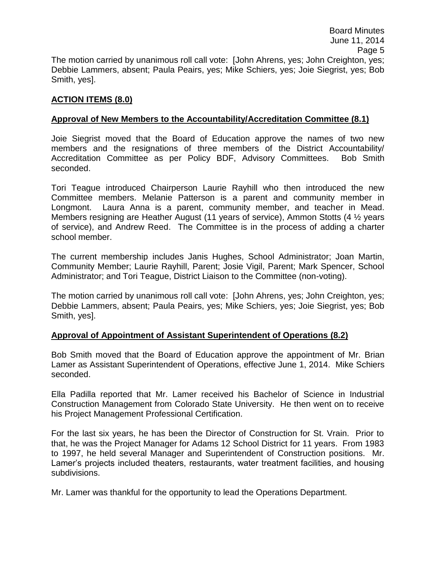Board Minutes June 11, 2014 Page 5 The motion carried by unanimous roll call vote: [John Ahrens, yes; John Creighton, yes; Debbie Lammers, absent; Paula Peairs, yes; Mike Schiers, yes; Joie Siegrist, yes; Bob Smith, yes].

# **ACTION ITEMS (8.0)**

# **Approval of New Members to the Accountability/Accreditation Committee (8.1)**

Joie Siegrist moved that the Board of Education approve the names of two new members and the resignations of three members of the District Accountability/ Accreditation Committee as per Policy BDF, Advisory Committees. Bob Smith seconded.

Tori Teague introduced Chairperson Laurie Rayhill who then introduced the new Committee members. Melanie Patterson is a parent and community member in Longmont. Laura Anna is a parent, community member, and teacher in Mead. Members resigning are Heather August (11 years of service), Ammon Stotts (4 ½ years of service), and Andrew Reed. The Committee is in the process of adding a charter school member.

The current membership includes Janis Hughes, School Administrator; Joan Martin, Community Member; Laurie Rayhill, Parent; Josie Vigil, Parent; Mark Spencer, School Administrator; and Tori Teague, District Liaison to the Committee (non-voting).

The motion carried by unanimous roll call vote: [John Ahrens, yes; John Creighton, yes; Debbie Lammers, absent; Paula Peairs, yes; Mike Schiers, yes; Joie Siegrist, yes; Bob Smith, yes].

## **Approval of Appointment of Assistant Superintendent of Operations (8.2)**

Bob Smith moved that the Board of Education approve the appointment of Mr. Brian Lamer as Assistant Superintendent of Operations, effective June 1, 2014. Mike Schiers seconded.

Ella Padilla reported that Mr. Lamer received his Bachelor of Science in Industrial Construction Management from Colorado State University. He then went on to receive his Project Management Professional Certification.

For the last six years, he has been the Director of Construction for St. Vrain. Prior to that, he was the Project Manager for Adams 12 School District for 11 years. From 1983 to 1997, he held several Manager and Superintendent of Construction positions. Mr. Lamer's projects included theaters, restaurants, water treatment facilities, and housing subdivisions.

Mr. Lamer was thankful for the opportunity to lead the Operations Department.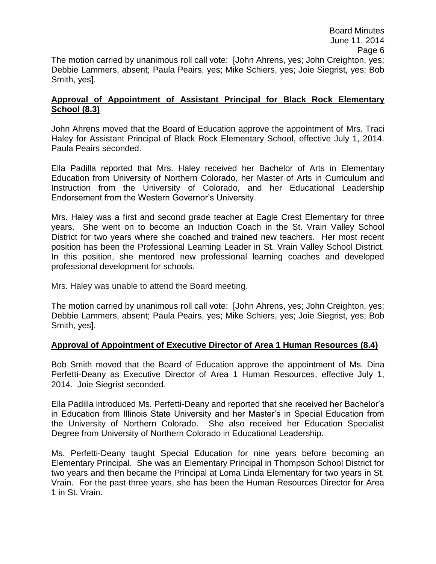## **Approval of Appointment of Assistant Principal for Black Rock Elementary School (8.3)**

John Ahrens moved that the Board of Education approve the appointment of Mrs. Traci Haley for Assistant Principal of Black Rock Elementary School, effective July 1, 2014. Paula Peairs seconded.

Ella Padilla reported that Mrs. Haley received her Bachelor of Arts in Elementary Education from University of Northern Colorado, her Master of Arts in Curriculum and Instruction from the University of Colorado, and her Educational Leadership Endorsement from the Western Governor's University.

Mrs. Haley was a first and second grade teacher at Eagle Crest Elementary for three years. She went on to become an Induction Coach in the St. Vrain Valley School District for two years where she coached and trained new teachers. Her most recent position has been the Professional Learning Leader in St. Vrain Valley School District. In this position, she mentored new professional learning coaches and developed professional development for schools.

Mrs. Haley was unable to attend the Board meeting.

Smith, yes].

The motion carried by unanimous roll call vote: [John Ahrens, yes; John Creighton, yes; Debbie Lammers, absent; Paula Peairs, yes; Mike Schiers, yes; Joie Siegrist, yes; Bob Smith, yes].

# **Approval of Appointment of Executive Director of Area 1 Human Resources (8.4)**

Bob Smith moved that the Board of Education approve the appointment of Ms. Dina Perfetti-Deany as Executive Director of Area 1 Human Resources, effective July 1, 2014. Joie Siegrist seconded.

Ella Padilla introduced Ms. Perfetti-Deany and reported that she received her Bachelor's in Education from Illinois State University and her Master's in Special Education from the University of Northern Colorado. She also received her Education Specialist Degree from University of Northern Colorado in Educational Leadership.

Ms. Perfetti-Deany taught Special Education for nine years before becoming an Elementary Principal. She was an Elementary Principal in Thompson School District for two years and then became the Principal at Loma Linda Elementary for two years in St. Vrain. For the past three years, she has been the Human Resources Director for Area 1 in St. Vrain.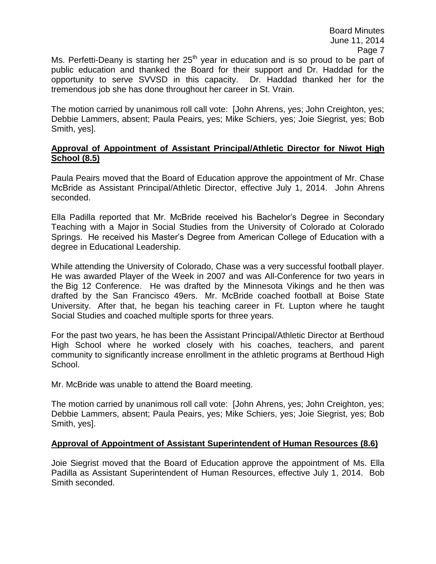Ms. Perfetti-Deany is starting her  $25<sup>th</sup>$  year in education and is so proud to be part of public education and thanked the Board for their support and Dr. Haddad for the opportunity to serve SVVSD in this capacity. Dr. Haddad thanked her for the tremendous job she has done throughout her career in St. Vrain.

The motion carried by unanimous roll call vote: [John Ahrens, yes; John Creighton, yes; Debbie Lammers, absent; Paula Peairs, yes; Mike Schiers, yes; Joie Siegrist, yes; Bob Smith, yes].

#### **Approval of Appointment of Assistant Principal/Athletic Director for Niwot High School (8.5)**

Paula Peairs moved that the Board of Education approve the appointment of Mr. Chase McBride as Assistant Principal/Athletic Director, effective July 1, 2014. John Ahrens seconded.

Ella Padilla reported that Mr. McBride received his Bachelor's Degree in Secondary Teaching with a Major in Social Studies from the University of Colorado at Colorado Springs. He received his Master's Degree from American College of Education with a degree in Educational Leadership.

While attending the University of Colorado, Chase was a very successful football player. He was awarded Player of the Week in 2007 and was All-Conference for two years in the Big 12 Conference. He was drafted by the Minnesota Vikings and he then was drafted by the San Francisco 49ers. Mr. McBride coached football at Boise State University. After that, he began his teaching career in Ft. Lupton where he taught Social Studies and coached multiple sports for three years.

For the past two years, he has been the Assistant Principal/Athletic Director at Berthoud High School where he worked closely with his coaches, teachers, and parent community to significantly increase enrollment in the athletic programs at Berthoud High School.

Mr. McBride was unable to attend the Board meeting.

The motion carried by unanimous roll call vote: [John Ahrens, yes; John Creighton, yes; Debbie Lammers, absent; Paula Peairs, yes; Mike Schiers, yes; Joie Siegrist, yes; Bob Smith, yes].

# **Approval of Appointment of Assistant Superintendent of Human Resources (8.6)**

Joie Siegrist moved that the Board of Education approve the appointment of Ms. Ella Padilla as Assistant Superintendent of Human Resources, effective July 1, 2014. Bob Smith seconded.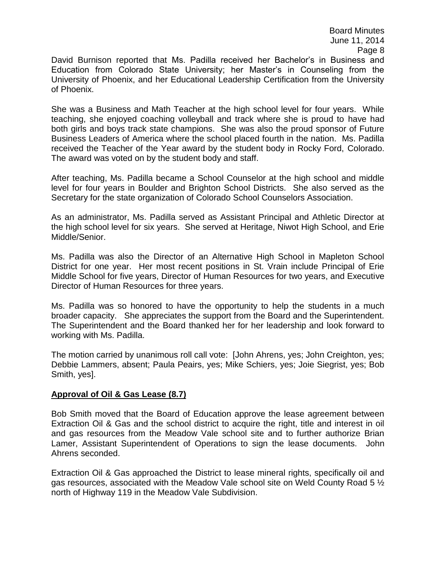David Burnison reported that Ms. Padilla received her Bachelor's in Business and Education from Colorado State University; her Master's in Counseling from the University of Phoenix, and her Educational Leadership Certification from the University of Phoenix.

She was a Business and Math Teacher at the high school level for four years. While teaching, she enjoyed coaching volleyball and track where she is proud to have had both girls and boys track state champions. She was also the proud sponsor of Future Business Leaders of America where the school placed fourth in the nation. Ms. Padilla received the Teacher of the Year award by the student body in Rocky Ford, Colorado. The award was voted on by the student body and staff.

After teaching, Ms. Padilla became a School Counselor at the high school and middle level for four years in Boulder and Brighton School Districts. She also served as the Secretary for the state organization of Colorado School Counselors Association.

As an administrator, Ms. Padilla served as Assistant Principal and Athletic Director at the high school level for six years. She served at Heritage, Niwot High School, and Erie Middle/Senior.

Ms. Padilla was also the Director of an Alternative High School in Mapleton School District for one year. Her most recent positions in St. Vrain include Principal of Erie Middle School for five years, Director of Human Resources for two years, and Executive Director of Human Resources for three years.

Ms. Padilla was so honored to have the opportunity to help the students in a much broader capacity. She appreciates the support from the Board and the Superintendent. The Superintendent and the Board thanked her for her leadership and look forward to working with Ms. Padilla.

The motion carried by unanimous roll call vote: [John Ahrens, yes; John Creighton, yes; Debbie Lammers, absent; Paula Peairs, yes; Mike Schiers, yes; Joie Siegrist, yes; Bob Smith, yes].

## **Approval of Oil & Gas Lease (8.7)**

Bob Smith moved that the Board of Education approve the lease agreement between Extraction Oil & Gas and the school district to acquire the right, title and interest in oil and gas resources from the Meadow Vale school site and to further authorize Brian Lamer, Assistant Superintendent of Operations to sign the lease documents. John Ahrens seconded.

Extraction Oil & Gas approached the District to lease mineral rights, specifically oil and gas resources, associated with the Meadow Vale school site on Weld County Road 5 ½ north of Highway 119 in the Meadow Vale Subdivision.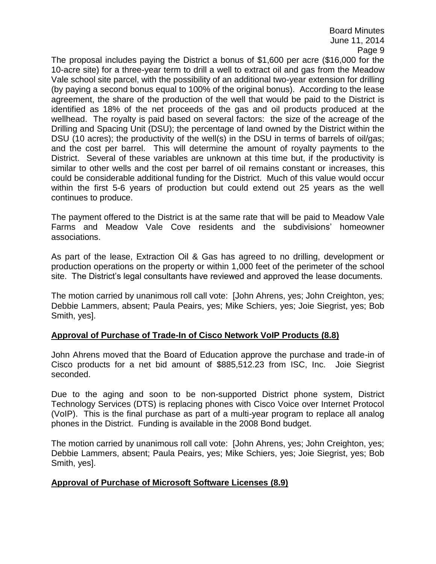Board Minutes June 11, 2014 Page 9

The proposal includes paying the District a bonus of \$1,600 per acre (\$16,000 for the 10-acre site) for a three-year term to drill a well to extract oil and gas from the Meadow Vale school site parcel, with the possibility of an additional two-year extension for drilling (by paying a second bonus equal to 100% of the original bonus). According to the lease agreement, the share of the production of the well that would be paid to the District is identified as 18% of the net proceeds of the gas and oil products produced at the wellhead. The royalty is paid based on several factors: the size of the acreage of the Drilling and Spacing Unit (DSU); the percentage of land owned by the District within the DSU (10 acres); the productivity of the well(s) in the DSU in terms of barrels of oil/gas; and the cost per barrel. This will determine the amount of royalty payments to the District. Several of these variables are unknown at this time but, if the productivity is similar to other wells and the cost per barrel of oil remains constant or increases, this could be considerable additional funding for the District. Much of this value would occur within the first 5-6 years of production but could extend out 25 years as the well continues to produce.

The payment offered to the District is at the same rate that will be paid to Meadow Vale Farms and Meadow Vale Cove residents and the subdivisions' homeowner associations.

As part of the lease, Extraction Oil & Gas has agreed to no drilling, development or production operations on the property or within 1,000 feet of the perimeter of the school site. The District's legal consultants have reviewed and approved the lease documents.

The motion carried by unanimous roll call vote: [John Ahrens, yes; John Creighton, yes; Debbie Lammers, absent; Paula Peairs, yes; Mike Schiers, yes; Joie Siegrist, yes; Bob Smith, yes].

## **Approval of Purchase of Trade-In of Cisco Network VoIP Products (8.8)**

John Ahrens moved that the Board of Education approve the purchase and trade-in of Cisco products for a net bid amount of \$885,512.23 from ISC, Inc. Joie Siegrist seconded.

Due to the aging and soon to be non-supported District phone system, District Technology Services (DTS) is replacing phones with Cisco Voice over Internet Protocol (VoIP). This is the final purchase as part of a multi-year program to replace all analog phones in the District. Funding is available in the 2008 Bond budget.

The motion carried by unanimous roll call vote: [John Ahrens, yes; John Creighton, yes; Debbie Lammers, absent; Paula Peairs, yes; Mike Schiers, yes; Joie Siegrist, yes; Bob Smith, yes].

## **Approval of Purchase of Microsoft Software Licenses (8.9)**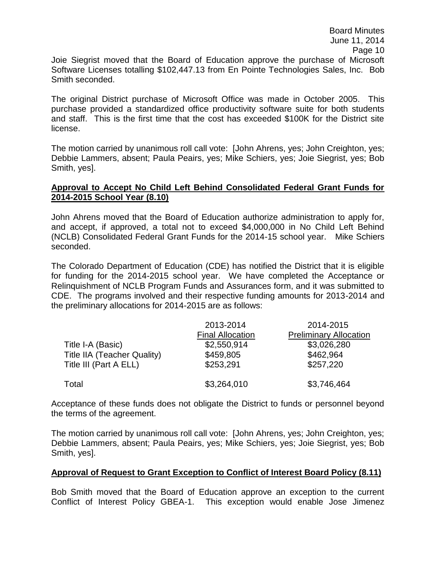Joie Siegrist moved that the Board of Education approve the purchase of Microsoft Software Licenses totalling \$102,447.13 from En Pointe Technologies Sales, Inc. Bob Smith seconded.

The original District purchase of Microsoft Office was made in October 2005. This purchase provided a standardized office productivity software suite for both students and staff. This is the first time that the cost has exceeded \$100K for the District site license.

The motion carried by unanimous roll call vote: [John Ahrens, yes; John Creighton, yes; Debbie Lammers, absent; Paula Peairs, yes; Mike Schiers, yes; Joie Siegrist, yes; Bob Smith, yes].

#### **Approval to Accept No Child Left Behind Consolidated Federal Grant Funds for 2014-2015 School Year (8.10)**

John Ahrens moved that the Board of Education authorize administration to apply for, and accept, if approved, a total not to exceed \$4,000,000 in No Child Left Behind (NCLB) Consolidated Federal Grant Funds for the 2014-15 school year. Mike Schiers seconded.

The Colorado Department of Education (CDE) has notified the District that it is eligible for funding for the 2014-2015 school year. We have completed the Acceptance or Relinquishment of NCLB Program Funds and Assurances form, and it was submitted to CDE. The programs involved and their respective funding amounts for 2013-2014 and the preliminary allocations for 2014-2015 are as follows:

|                             | 2013-2014<br><b>Final Allocation</b> | 2014-2015<br><b>Preliminary Allocation</b> |
|-----------------------------|--------------------------------------|--------------------------------------------|
| Title I-A (Basic)           | \$2,550,914                          | \$3,026,280                                |
| Title IIA (Teacher Quality) | \$459,805                            | \$462,964                                  |
| Title III (Part A ELL)      | \$253,291                            | \$257,220                                  |
| Total                       | \$3,264,010                          | \$3,746,464                                |

Acceptance of these funds does not obligate the District to funds or personnel beyond the terms of the agreement.

The motion carried by unanimous roll call vote: [John Ahrens, yes; John Creighton, yes; Debbie Lammers, absent; Paula Peairs, yes; Mike Schiers, yes; Joie Siegrist, yes; Bob Smith, yes].

## **Approval of Request to Grant Exception to Conflict of Interest Board Policy (8.11)**

Bob Smith moved that the Board of Education approve an exception to the current Conflict of Interest Policy GBEA-1. This exception would enable Jose Jimenez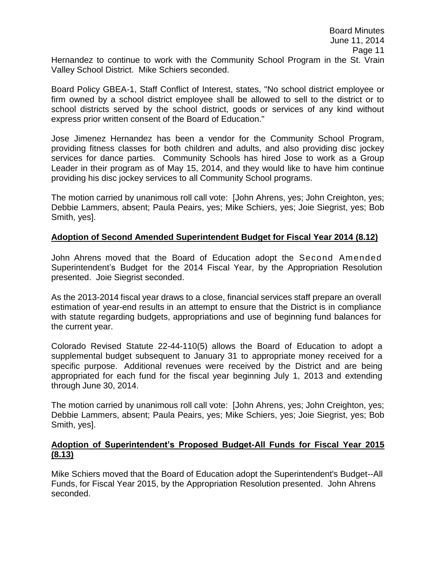Hernandez to continue to work with the Community School Program in the St. Vrain Valley School District. Mike Schiers seconded.

Board Policy GBEA-1, Staff Conflict of Interest, states, "No school district employee or firm owned by a school district employee shall be allowed to sell to the district or to school districts served by the school district, goods or services of any kind without express prior written consent of the Board of Education."

Jose Jimenez Hernandez has been a vendor for the Community School Program, providing fitness classes for both children and adults, and also providing disc jockey services for dance parties. Community Schools has hired Jose to work as a Group Leader in their program as of May 15, 2014, and they would like to have him continue providing his disc jockey services to all Community School programs.

The motion carried by unanimous roll call vote: [John Ahrens, yes; John Creighton, yes; Debbie Lammers, absent; Paula Peairs, yes; Mike Schiers, yes; Joie Siegrist, yes; Bob Smith, yes].

# **Adoption of Second Amended Superintendent Budget for Fiscal Year 2014 (8.12)**

John Ahrens moved that the Board of Education adopt the Second Amended Superintendent's Budget for the 2014 Fiscal Year, by the Appropriation Resolution presented. Joie Siegrist seconded.

As the 2013-2014 fiscal year draws to a close, financial services staff prepare an overall estimation of year-end results in an attempt to ensure that the District is in compliance with statute regarding budgets, appropriations and use of beginning fund balances for the current year.

Colorado Revised Statute 22-44-110(5) allows the Board of Education to adopt a supplemental budget subsequent to January 31 to appropriate money received for a specific purpose. Additional revenues were received by the District and are being appropriated for each fund for the fiscal year beginning July 1, 2013 and extending through June 30, 2014.

The motion carried by unanimous roll call vote: [John Ahrens, yes; John Creighton, yes; Debbie Lammers, absent; Paula Peairs, yes; Mike Schiers, yes; Joie Siegrist, yes; Bob Smith, yes].

## **Adoption of Superintendent's Proposed Budget-All Funds for Fiscal Year 2015 (8.13)**

Mike Schiers moved that the Board of Education adopt the Superintendent's Budget--All Funds, for Fiscal Year 2015, by the Appropriation Resolution presented. John Ahrens seconded.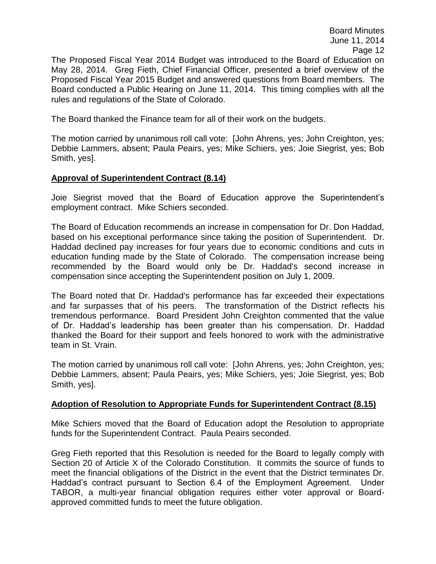The Proposed Fiscal Year 2014 Budget was introduced to the Board of Education on May 28, 2014. Greg Fieth, Chief Financial Officer, presented a brief overview of the Proposed Fiscal Year 2015 Budget and answered questions from Board members. The Board conducted a Public Hearing on June 11, 2014. This timing complies with all the rules and regulations of the State of Colorado.

The Board thanked the Finance team for all of their work on the budgets.

The motion carried by unanimous roll call vote: [John Ahrens, yes; John Creighton, yes; Debbie Lammers, absent; Paula Peairs, yes; Mike Schiers, yes; Joie Siegrist, yes; Bob Smith, yes].

## **Approval of Superintendent Contract (8.14)**

Joie Siegrist moved that the Board of Education approve the Superintendent's employment contract. Mike Schiers seconded.

The Board of Education recommends an increase in compensation for Dr. Don Haddad, based on his exceptional performance since taking the position of Superintendent. Dr. Haddad declined pay increases for four years due to economic conditions and cuts in education funding made by the State of Colorado. The compensation increase being recommended by the Board would only be Dr. Haddad's second increase in compensation since accepting the Superintendent position on July 1, 2009.

The Board noted that Dr. Haddad's performance has far exceeded their expectations and far surpasses that of his peers. The transformation of the District reflects his tremendous performance. Board President John Creighton commented that the value of Dr. Haddad's leadership has been greater than his compensation. Dr. Haddad thanked the Board for their support and feels honored to work with the administrative team in St. Vrain.

The motion carried by unanimous roll call vote: [John Ahrens, yes; John Creighton, yes; Debbie Lammers, absent; Paula Peairs, yes; Mike Schiers, yes; Joie Siegrist, yes; Bob Smith, yes].

## **Adoption of Resolution to Appropriate Funds for Superintendent Contract (8.15)**

Mike Schiers moved that the Board of Education adopt the Resolution to appropriate funds for the Superintendent Contract. Paula Peairs seconded.

Greg Fieth reported that this Resolution is needed for the Board to legally comply with Section 20 of Article X of the Colorado Constitution. It commits the source of funds to meet the financial obligations of the District in the event that the District terminates Dr. Haddad's contract pursuant to Section 6.4 of the Employment Agreement. Under TABOR, a multi-year financial obligation requires either voter approval or Boardapproved committed funds to meet the future obligation.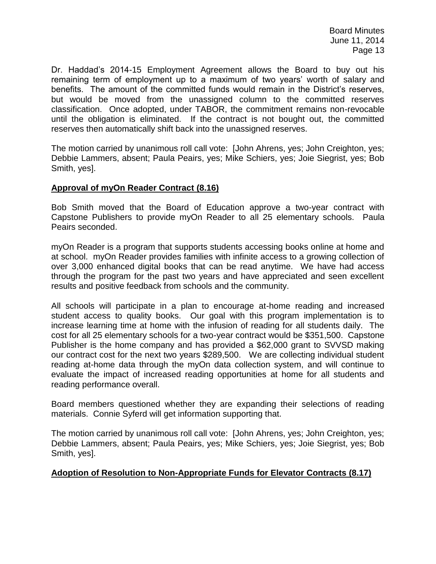Dr. Haddad's 2014-15 Employment Agreement allows the Board to buy out his remaining term of employment up to a maximum of two years' worth of salary and benefits. The amount of the committed funds would remain in the District's reserves, but would be moved from the unassigned column to the committed reserves classification. Once adopted, under TABOR, the commitment remains non-revocable until the obligation is eliminated. If the contract is not bought out, the committed reserves then automatically shift back into the unassigned reserves.

The motion carried by unanimous roll call vote: [John Ahrens, yes; John Creighton, yes; Debbie Lammers, absent; Paula Peairs, yes; Mike Schiers, yes; Joie Siegrist, yes; Bob Smith, yes].

## **Approval of myOn Reader Contract (8.16)**

Bob Smith moved that the Board of Education approve a two-year contract with Capstone Publishers to provide myOn Reader to all 25 elementary schools. Paula Peairs seconded.

myOn Reader is a program that supports students accessing books online at home and at school. myOn Reader provides families with infinite access to a growing collection of over 3,000 enhanced digital books that can be read anytime. We have had access through the program for the past two years and have appreciated and seen excellent results and positive feedback from schools and the community.

All schools will participate in a plan to encourage at-home reading and increased student access to quality books. Our goal with this program implementation is to increase learning time at home with the infusion of reading for all students daily. The cost for all 25 elementary schools for a two-year contract would be \$351,500. Capstone Publisher is the home company and has provided a \$62,000 grant to SVVSD making our contract cost for the next two years \$289,500. We are collecting individual student reading at-home data through the myOn data collection system, and will continue to evaluate the impact of increased reading opportunities at home for all students and reading performance overall.

Board members questioned whether they are expanding their selections of reading materials. Connie Syferd will get information supporting that.

The motion carried by unanimous roll call vote: [John Ahrens, yes; John Creighton, yes; Debbie Lammers, absent; Paula Peairs, yes; Mike Schiers, yes; Joie Siegrist, yes; Bob Smith, yes].

## **Adoption of Resolution to Non-Appropriate Funds for Elevator Contracts (8.17)**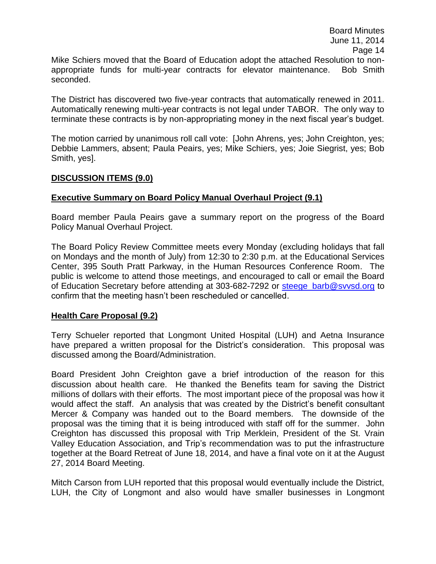Mike Schiers moved that the Board of Education adopt the attached Resolution to nonappropriate funds for multi-year contracts for elevator maintenance. Bob Smith seconded.

The District has discovered two five-year contracts that automatically renewed in 2011. Automatically renewing multi-year contracts is not legal under TABOR. The only way to terminate these contracts is by non-appropriating money in the next fiscal year's budget.

The motion carried by unanimous roll call vote: [John Ahrens, yes; John Creighton, yes; Debbie Lammers, absent; Paula Peairs, yes; Mike Schiers, yes; Joie Siegrist, yes; Bob Smith, yes].

#### **DISCUSSION ITEMS (9.0)**

#### **Executive Summary on Board Policy Manual Overhaul Project (9.1)**

Board member Paula Peairs gave a summary report on the progress of the Board Policy Manual Overhaul Project.

The Board Policy Review Committee meets every Monday (excluding holidays that fall on Mondays and the month of July) from 12:30 to 2:30 p.m. at the Educational Services Center, 395 South Pratt Parkway, in the Human Resources Conference Room. The public is welcome to attend those meetings, and encouraged to call or email the Board of Education Secretary before attending at 303-682-7292 or steege barb@svvsd.org to confirm that the meeting hasn't been rescheduled or cancelled.

## **Health Care Proposal (9.2)**

Terry Schueler reported that Longmont United Hospital (LUH) and Aetna Insurance have prepared a written proposal for the District's consideration. This proposal was discussed among the Board/Administration.

Board President John Creighton gave a brief introduction of the reason for this discussion about health care. He thanked the Benefits team for saving the District millions of dollars with their efforts. The most important piece of the proposal was how it would affect the staff. An analysis that was created by the District's benefit consultant Mercer & Company was handed out to the Board members. The downside of the proposal was the timing that it is being introduced with staff off for the summer. John Creighton has discussed this proposal with Trip Merklein, President of the St. Vrain Valley Education Association, and Trip's recommendation was to put the infrastructure together at the Board Retreat of June 18, 2014, and have a final vote on it at the August 27, 2014 Board Meeting.

Mitch Carson from LUH reported that this proposal would eventually include the District, LUH, the City of Longmont and also would have smaller businesses in Longmont